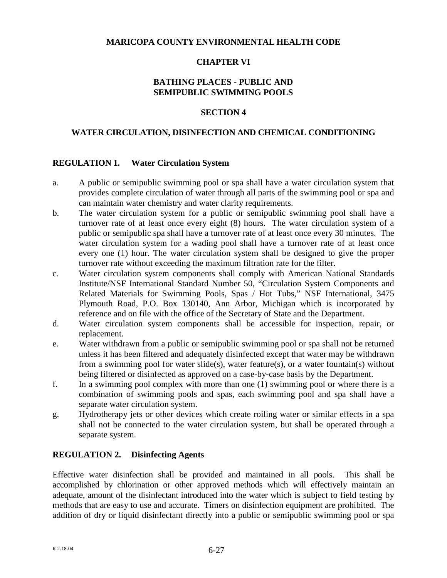### **MARICOPA COUNTY ENVIRONMENTAL HEALTH CODE**

### **CHAPTER VI**

### **BATHING PLACES - PUBLIC AND SEMIPUBLIC SWIMMING POOLS**

## **SECTION 4**

### **WATER CIRCULATION, DISINFECTION AND CHEMICAL CONDITIONING**

#### **REGULATION 1. Water Circulation System**

- a. A public or semipublic swimming pool or spa shall have a water circulation system that provides complete circulation of water through all parts of the swimming pool or spa and can maintain water chemistry and water clarity requirements.
- b. The water circulation system for a public or semipublic swimming pool shall have a turnover rate of at least once every eight (8) hours. The water circulation system of a public or semipublic spa shall have a turnover rate of at least once every 30 minutes. The water circulation system for a wading pool shall have a turnover rate of at least once every one (1) hour. The water circulation system shall be designed to give the proper turnover rate without exceeding the maximum filtration rate for the filter.
- c. Water circulation system components shall comply with American National Standards Institute/NSF International Standard Number 50, "Circulation System Components and Related Materials for Swimming Pools, Spas / Hot Tubs," NSF International, 3475 Plymouth Road, P.O. Box 130140, Ann Arbor, Michigan which is incorporated by reference and on file with the office of the Secretary of State and the Department.
- d. Water circulation system components shall be accessible for inspection, repair, or replacement.
- e. Water withdrawn from a public or semipublic swimming pool or spa shall not be returned unless it has been filtered and adequately disinfected except that water may be withdrawn from a swimming pool for water slide(s), water feature(s), or a water fountain(s) without being filtered or disinfected as approved on a case-by-case basis by the Department.
- f. In a swimming pool complex with more than one (1) swimming pool or where there is a combination of swimming pools and spas, each swimming pool and spa shall have a separate water circulation system.
- g. Hydrotherapy jets or other devices which create roiling water or similar effects in a spa shall not be connected to the water circulation system, but shall be operated through a separate system.

### **REGULATION 2. Disinfecting Agents**

Effective water disinfection shall be provided and maintained in all pools. This shall be accomplished by chlorination or other approved methods which will effectively maintain an adequate, amount of the disinfectant introduced into the water which is subject to field testing by methods that are easy to use and accurate. Timers on disinfection equipment are prohibited. The addition of dry or liquid disinfectant directly into a public or semipublic swimming pool or spa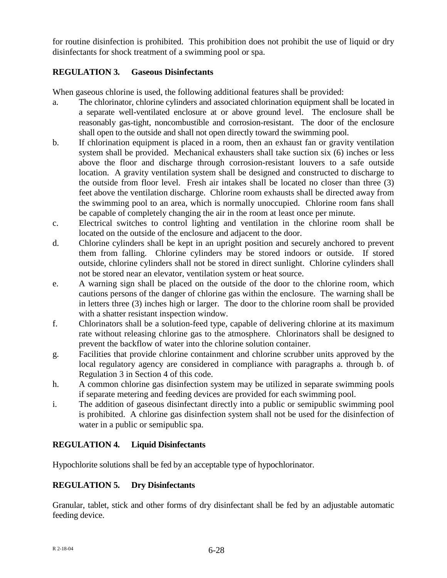for routine disinfection is prohibited. This prohibition does not prohibit the use of liquid or dry disinfectants for shock treatment of a swimming pool or spa.

# **REGULATION 3. Gaseous Disinfectants**

When gaseous chlorine is used, the following additional features shall be provided:

- a. The chlorinator, chlorine cylinders and associated chlorination equipment shall be located in a separate well-ventilated enclosure at or above ground level. The enclosure shall be reasonably gas-tight, noncombustible and corrosion-resistant. The door of the enclosure shall open to the outside and shall not open directly toward the swimming pool.
- b. If chlorination equipment is placed in a room, then an exhaust fan or gravity ventilation system shall be provided. Mechanical exhausters shall take suction six (6) inches or less above the floor and discharge through corrosion-resistant louvers to a safe outside location. A gravity ventilation system shall be designed and constructed to discharge to the outside from floor level. Fresh air intakes shall be located no closer than three (3) feet above the ventilation discharge. Chlorine room exhausts shall be directed away from the swimming pool to an area, which is normally unoccupied. Chlorine room fans shall be capable of completely changing the air in the room at least once per minute.
- c. Electrical switches to control lighting and ventilation in the chlorine room shall be located on the outside of the enclosure and adjacent to the door.
- d. Chlorine cylinders shall be kept in an upright position and securely anchored to prevent them from falling. Chlorine cylinders may be stored indoors or outside. If stored outside, chlorine cylinders shall not be stored in direct sunlight. Chlorine cylinders shall not be stored near an elevator, ventilation system or heat source.
- e. A warning sign shall be placed on the outside of the door to the chlorine room, which cautions persons of the danger of chlorine gas within the enclosure. The warning shall be in letters three (3) inches high or larger. The door to the chlorine room shall be provided with a shatter resistant inspection window.
- f. Chlorinators shall be a solution-feed type, capable of delivering chlorine at its maximum rate without releasing chlorine gas to the atmosphere. Chlorinators shall be designed to prevent the backflow of water into the chlorine solution container.
- g. Facilities that provide chlorine containment and chlorine scrubber units approved by the local regulatory agency are considered in compliance with paragraphs a. through b. of Regulation 3 in Section 4 of this code.
- h. A common chlorine gas disinfection system may be utilized in separate swimming pools if separate metering and feeding devices are provided for each swimming pool.
- i. The addition of gaseous disinfectant directly into a public or semipublic swimming pool is prohibited. A chlorine gas disinfection system shall not be used for the disinfection of water in a public or semipublic spa.

# **REGULATION 4. Liquid Disinfectants**

Hypochlorite solutions shall be fed by an acceptable type of hypochlorinator.

# **REGULATION 5. Dry Disinfectants**

Granular, tablet, stick and other forms of dry disinfectant shall be fed by an adjustable automatic feeding device.